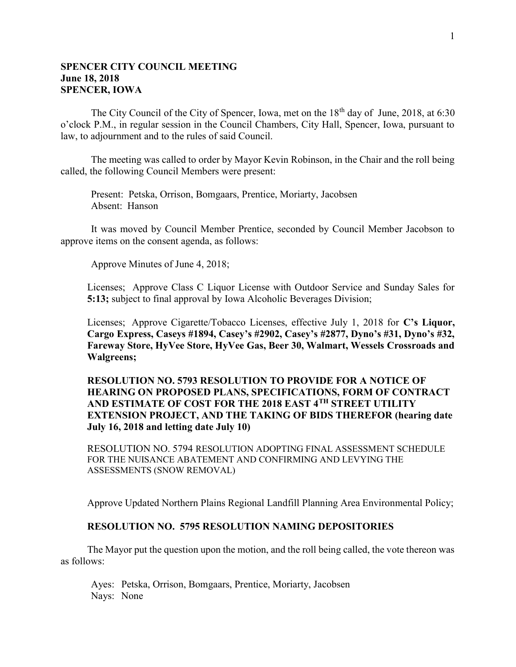# SPENCER CITY COUNCIL MEETING June 18, 2018 SPENCER, IOWA

The City Council of the City of Spencer, Iowa, met on the  $18<sup>th</sup>$  day of June, 2018, at 6:30 o'clock P.M., in regular session in the Council Chambers, City Hall, Spencer, Iowa, pursuant to law, to adjournment and to the rules of said Council.

The meeting was called to order by Mayor Kevin Robinson, in the Chair and the roll being called, the following Council Members were present:

Present: Petska, Orrison, Bomgaars, Prentice, Moriarty, Jacobsen Absent: Hanson

It was moved by Council Member Prentice, seconded by Council Member Jacobson to approve items on the consent agenda, as follows:

Approve Minutes of June 4, 2018;

Licenses; Approve Class C Liquor License with Outdoor Service and Sunday Sales for 5:13; subject to final approval by Iowa Alcoholic Beverages Division;

Licenses; Approve Cigarette/Tobacco Licenses, effective July 1, 2018 for C's Liquor, Cargo Express, Caseys #1894, Casey's #2902, Casey's #2877, Dyno's #31, Dyno's #32, Fareway Store, HyVee Store, HyVee Gas, Beer 30, Walmart, Wessels Crossroads and Walgreens;

# RESOLUTION NO. 5793 RESOLUTION TO PROVIDE FOR A NOTICE OF HEARING ON PROPOSED PLANS, SPECIFICATIONS, FORM OF CONTRACT AND ESTIMATE OF COST FOR THE 2018 EAST 4TH STREET UTILITY EXTENSION PROJECT, AND THE TAKING OF BIDS THEREFOR (hearing date July 16, 2018 and letting date July 10)

RESOLUTION NO. 5794 RESOLUTION ADOPTING FINAL ASSESSMENT SCHEDULE FOR THE NUISANCE ABATEMENT AND CONFIRMING AND LEVYING THE ASSESSMENTS (SNOW REMOVAL)

Approve Updated Northern Plains Regional Landfill Planning Area Environmental Policy;

#### RESOLUTION NO. 5795 RESOLUTION NAMING DEPOSITORIES

The Mayor put the question upon the motion, and the roll being called, the vote thereon was as follows:

Ayes: Petska, Orrison, Bomgaars, Prentice, Moriarty, Jacobsen Nays: None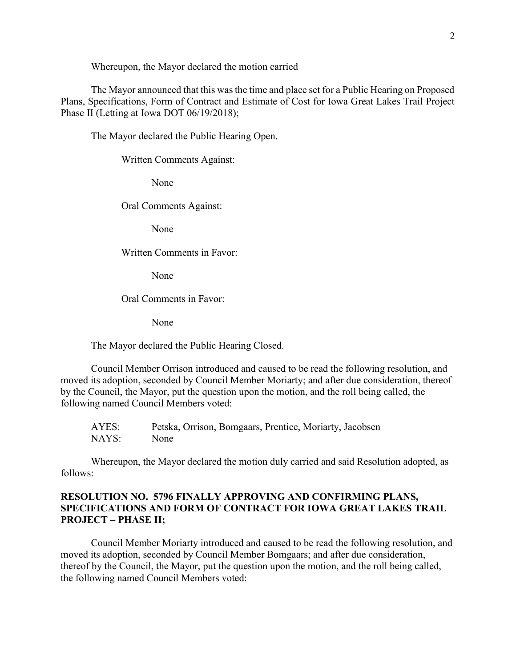Whereupon, the Mayor declared the motion carried

The Mayor announced that this was the time and place set for a Public Hearing on Proposed Plans, Specifications, Form of Contract and Estimate of Cost for Iowa Great Lakes Trail Project Phase II (Letting at Iowa DOT 06/19/2018);

The Mayor declared the Public Hearing Open.

Written Comments Against:

None

Oral Comments Against:

None

Written Comments in Favor:

None

Oral Comments in Favor:

None

The Mayor declared the Public Hearing Closed.

Council Member Orrison introduced and caused to be read the following resolution, and moved its adoption, seconded by Council Member Moriarty; and after due consideration, thereof by the Council, the Mayor, put the question upon the motion, and the roll being called, the following named Council Members voted:

 AYES: Petska, Orrison, Bomgaars, Prentice, Moriarty, Jacobsen NAYS: None

 Whereupon, the Mayor declared the motion duly carried and said Resolution adopted, as follows:

# RESOLUTION NO. 5796 FINALLY APPROVING AND CONFIRMING PLANS, SPECIFICATIONS AND FORM OF CONTRACT FOR IOWA GREAT LAKES TRAIL PROJECT – PHASE II;

Council Member Moriarty introduced and caused to be read the following resolution, and moved its adoption, seconded by Council Member Bomgaars; and after due consideration, thereof by the Council, the Mayor, put the question upon the motion, and the roll being called, the following named Council Members voted: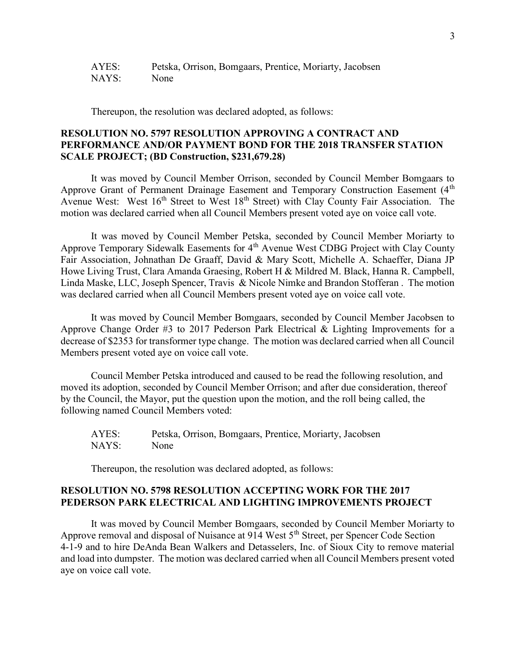| AYES: | Petska, Orrison, Bomgaars, Prentice, Moriarty, Jacobsen |
|-------|---------------------------------------------------------|
| NAYS: | None                                                    |

Thereupon, the resolution was declared adopted, as follows:

### RESOLUTION NO. 5797 RESOLUTION APPROVING A CONTRACT AND PERFORMANCE AND/OR PAYMENT BOND FOR THE 2018 TRANSFER STATION SCALE PROJECT; (BD Construction, \$231,679.28)

It was moved by Council Member Orrison, seconded by Council Member Bomgaars to Approve Grant of Permanent Drainage Easement and Temporary Construction Easement (4<sup>th</sup>) Avenue West: West 16<sup>th</sup> Street to West 18<sup>th</sup> Street) with Clay County Fair Association. The motion was declared carried when all Council Members present voted aye on voice call vote.

It was moved by Council Member Petska, seconded by Council Member Moriarty to Approve Temporary Sidewalk Easements for 4<sup>th</sup> Avenue West CDBG Project with Clay County Fair Association, Johnathan De Graaff, David & Mary Scott, Michelle A. Schaeffer, Diana JP Howe Living Trust, Clara Amanda Graesing, Robert H & Mildred M. Black, Hanna R. Campbell, Linda Maske, LLC, Joseph Spencer, Travis & Nicole Nimke and Brandon Stofferan . The motion was declared carried when all Council Members present voted aye on voice call vote.

It was moved by Council Member Bomgaars, seconded by Council Member Jacobsen to Approve Change Order #3 to 2017 Pederson Park Electrical & Lighting Improvements for a decrease of \$2353 for transformer type change. The motion was declared carried when all Council Members present voted aye on voice call vote.

Council Member Petska introduced and caused to be read the following resolution, and moved its adoption, seconded by Council Member Orrison; and after due consideration, thereof by the Council, the Mayor, put the question upon the motion, and the roll being called, the following named Council Members voted:

 AYES: Petska, Orrison, Bomgaars, Prentice, Moriarty, Jacobsen NAYS: None

Thereupon, the resolution was declared adopted, as follows:

#### RESOLUTION NO. 5798 RESOLUTION ACCEPTING WORK FOR THE 2017 PEDERSON PARK ELECTRICAL AND LIGHTING IMPROVEMENTS PROJECT

It was moved by Council Member Bomgaars, seconded by Council Member Moriarty to Approve removal and disposal of Nuisance at 914 West 5<sup>th</sup> Street, per Spencer Code Section 4-1-9 and to hire DeAnda Bean Walkers and Detasselers, Inc. of Sioux City to remove material and load into dumpster. The motion was declared carried when all Council Members present voted aye on voice call vote.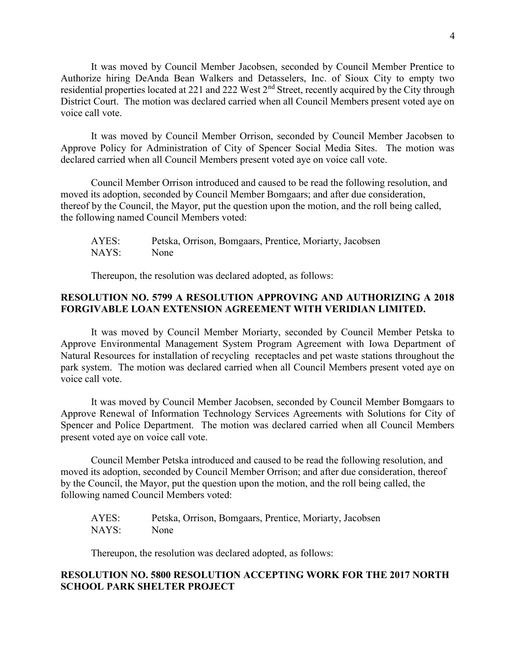It was moved by Council Member Jacobsen, seconded by Council Member Prentice to Authorize hiring DeAnda Bean Walkers and Detasselers, Inc. of Sioux City to empty two residential properties located at 221 and 222 West 2nd Street, recently acquired by the City through District Court. The motion was declared carried when all Council Members present voted aye on voice call vote.

It was moved by Council Member Orrison, seconded by Council Member Jacobsen to Approve Policy for Administration of City of Spencer Social Media Sites. The motion was declared carried when all Council Members present voted aye on voice call vote.

Council Member Orrison introduced and caused to be read the following resolution, and moved its adoption, seconded by Council Member Bomgaars; and after due consideration, thereof by the Council, the Mayor, put the question upon the motion, and the roll being called, the following named Council Members voted:

| AYES: | Petska, Orrison, Bomgaars, Prentice, Moriarty, Jacobsen |
|-------|---------------------------------------------------------|
| NAYS: | None                                                    |

Thereupon, the resolution was declared adopted, as follows:

# RESOLUTION NO. 5799 A RESOLUTION APPROVING AND AUTHORIZING A 2018 FORGIVABLE LOAN EXTENSION AGREEMENT WITH VERIDIAN LIMITED.

It was moved by Council Member Moriarty, seconded by Council Member Petska to Approve Environmental Management System Program Agreement with Iowa Department of Natural Resources for installation of recycling receptacles and pet waste stations throughout the park system. The motion was declared carried when all Council Members present voted aye on voice call vote.

It was moved by Council Member Jacobsen, seconded by Council Member Bomgaars to Approve Renewal of Information Technology Services Agreements with Solutions for City of Spencer and Police Department. The motion was declared carried when all Council Members present voted aye on voice call vote.

Council Member Petska introduced and caused to be read the following resolution, and moved its adoption, seconded by Council Member Orrison; and after due consideration, thereof by the Council, the Mayor, put the question upon the motion, and the roll being called, the following named Council Members voted:

 AYES: Petska, Orrison, Bomgaars, Prentice, Moriarty, Jacobsen NAYS: None

Thereupon, the resolution was declared adopted, as follows:

# RESOLUTION NO. 5800 RESOLUTION ACCEPTING WORK FOR THE 2017 NORTH SCHOOL PARK SHELTER PROJECT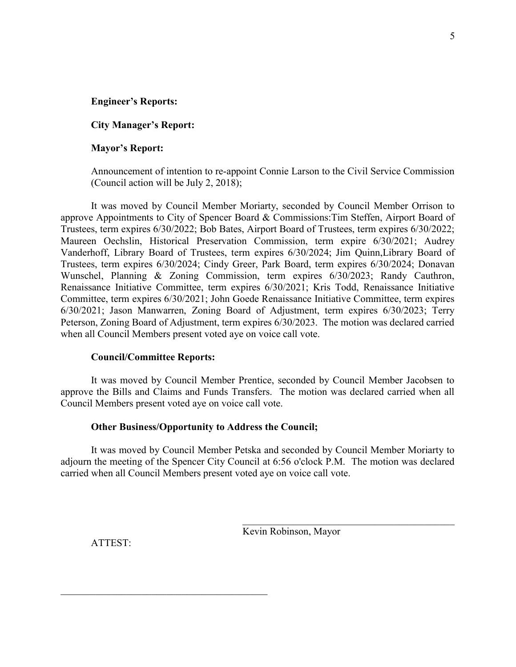#### Engineer's Reports:

#### City Manager's Report:

#### Mayor's Report:

Announcement of intention to re-appoint Connie Larson to the Civil Service Commission (Council action will be July 2, 2018);

It was moved by Council Member Moriarty, seconded by Council Member Orrison to approve Appointments to City of Spencer Board & Commissions:Tim Steffen, Airport Board of Trustees, term expires 6/30/2022; Bob Bates, Airport Board of Trustees, term expires 6/30/2022; Maureen Oechslin, Historical Preservation Commission, term expire 6/30/2021; Audrey Vanderhoff, Library Board of Trustees, term expires 6/30/2024; Jim Quinn,Library Board of Trustees, term expires 6/30/2024; Cindy Greer, Park Board, term expires 6/30/2024; Donavan Wunschel, Planning & Zoning Commission, term expires 6/30/2023; Randy Cauthron, Renaissance Initiative Committee, term expires 6/30/2021; Kris Todd, Renaissance Initiative Committee, term expires 6/30/2021; John Goede Renaissance Initiative Committee, term expires 6/30/2021; Jason Manwarren, Zoning Board of Adjustment, term expires 6/30/2023; Terry Peterson, Zoning Board of Adjustment, term expires 6/30/2023. The motion was declared carried when all Council Members present voted aye on voice call vote.

#### Council/Committee Reports:

It was moved by Council Member Prentice, seconded by Council Member Jacobsen to approve the Bills and Claims and Funds Transfers. The motion was declared carried when all Council Members present voted aye on voice call vote.

#### Other Business/Opportunity to Address the Council;

It was moved by Council Member Petska and seconded by Council Member Moriarty to adjourn the meeting of the Spencer City Council at 6:56 o'clock P.M. The motion was declared carried when all Council Members present voted aye on voice call vote.

ATTEST:

Kevin Robinson, Mayor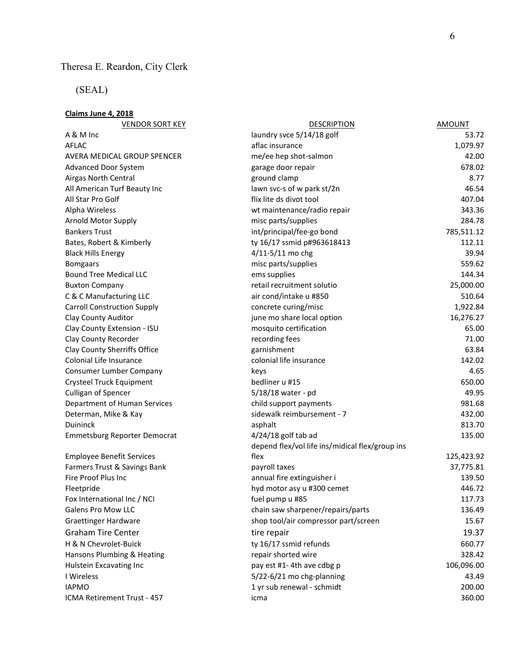# Theresa E. Reardon, City Clerk

# (SEAL)

# Claims June 4, 2018

| <b>VENDOR SORT KEY</b>              | <b>DESCRIPTION</b>                              | <b>AMOUNT</b> |
|-------------------------------------|-------------------------------------------------|---------------|
| A & M Inc                           | laundry svce 5/14/18 golf                       | 53.72         |
| <b>AFLAC</b>                        | aflac insurance                                 | 1,079.97      |
| AVERA MEDICAL GROUP SPENCER         | me/ee hep shot-salmon                           | 42.00         |
| Advanced Door System                | garage door repair                              | 678.02        |
| Airgas North Central                | ground clamp                                    | 8.77          |
| All American Turf Beauty Inc        | lawn svc-s of w park st/2n                      | 46.54         |
| All Star Pro Golf                   | flix lite ds divot tool                         | 407.04        |
| Alpha Wireless                      | wt maintenance/radio repair                     | 343.36        |
| Arnold Motor Supply                 | misc parts/supplies                             | 284.78        |
| <b>Bankers Trust</b>                | int/principal/fee-go bond                       | 785,511.12    |
| Bates, Robert & Kimberly            | ty 16/17 ssmid p#963618413                      | 112.11        |
| <b>Black Hills Energy</b>           | 4/11-5/11 mo chg                                | 39.94         |
| <b>Bomgaars</b>                     | misc parts/supplies                             | 559.62        |
| <b>Bound Tree Medical LLC</b>       | ems supplies                                    | 144.34        |
| <b>Buxton Company</b>               | retail recruitment solutio                      | 25,000.00     |
| C & C Manufacturing LLC             | air cond/intake u #850                          | 510.64        |
| <b>Carroll Construction Supply</b>  | concrete curing/misc                            | 1,922.84      |
| Clay County Auditor                 | june mo share local option                      | 16,276.27     |
| Clay County Extension - ISU         | mosquito certification                          | 65.00         |
| Clay County Recorder                | recording fees                                  | 71.00         |
| Clay County Sherriffs Office        | garnishment                                     | 63.84         |
| Colonial Life Insurance             | colonial life insurance                         | 142.02        |
| Consumer Lumber Company             | keys                                            | 4.65          |
| Crysteel Truck Equipment            | bedliner u #15                                  | 650.00        |
| Culligan of Spencer                 | 5/18/18 water - pd                              | 49.95         |
| Department of Human Services        | child support payments                          | 981.68        |
| Determan, Mike & Kay                | sidewalk reimbursement - 7                      | 432.00        |
| Duininck                            | asphalt                                         | 813.70        |
| <b>Emmetsburg Reporter Democrat</b> | $4/24/18$ golf tab ad                           | 135.00        |
|                                     | depend flex/vol life ins/midical flex/group ins |               |
| <b>Employee Benefit Services</b>    | flex                                            | 125,423.92    |
| Farmers Trust & Savings Bank        | payroll taxes                                   | 37,775.81     |
| Fire Proof Plus Inc                 | annual fire extinguisher i                      | 139.50        |
| Fleetpride                          | hyd motor asy u #300 cemet                      | 446.72        |
| Fox International Inc / NCI         | fuel pump u #85                                 | 117.73        |
| <b>Galens Pro Mow LLC</b>           | chain saw sharpener/repairs/parts               | 136.49        |
| <b>Graettinger Hardware</b>         | shop tool/air compressor part/screen            | 15.67         |
| <b>Graham Tire Center</b>           | tire repair                                     | 19.37         |
| H & N Chevrolet-Buick               | ty 16/17 ssmid refunds                          | 660.77        |
| Hansons Plumbing & Heating          | repair shorted wire                             | 328.42        |
| Hulstein Excavating Inc             | pay est #1-4th ave cdbg p                       | 106,096.00    |
| I Wireless                          | 5/22-6/21 mo chg-planning                       | 43.49         |
| <b>IAPMO</b>                        | 1 yr sub renewal - schmidt                      | 200.00        |
| ICMA Retirement Trust - 457         | icma                                            | 360.00        |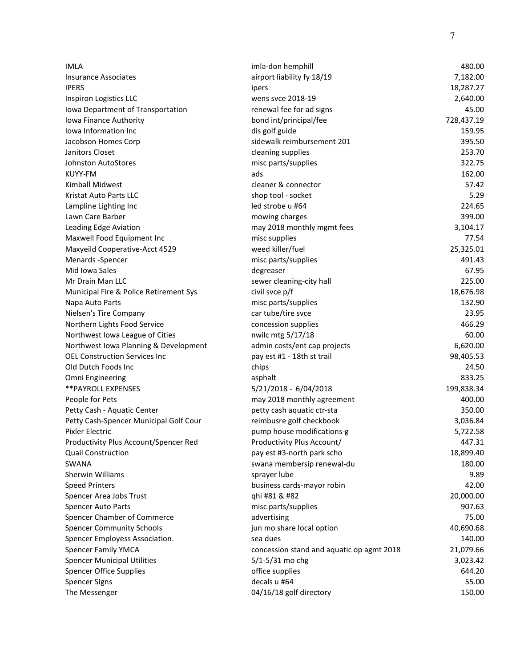| <b>IMLA</b>                            | imla-don hemphill                         | 480.00     |
|----------------------------------------|-------------------------------------------|------------|
| Insurance Associates                   | airport liability fy 18/19                | 7,182.00   |
| <b>IPERS</b>                           | ipers                                     | 18,287.27  |
| Inspiron Logistics LLC                 | wens svce 2018-19                         | 2,640.00   |
| Iowa Department of Transportation      | renewal fee for ad signs                  | 45.00      |
| Iowa Finance Authority                 | bond int/principal/fee                    | 728,437.19 |
| lowa Information Inc                   | dis golf guide                            | 159.95     |
| Jacobson Homes Corp                    | sidewalk reimbursement 201                | 395.50     |
| Janitors Closet                        | cleaning supplies                         | 253.70     |
| <b>Johnston AutoStores</b>             | misc parts/supplies                       | 322.75     |
| <b>KUYY-FM</b>                         | ads                                       | 162.00     |
| Kimball Midwest                        | cleaner & connector                       | 57.42      |
| Kristat Auto Parts LLC                 | shop tool - socket                        | 5.29       |
| Lampline Lighting Inc                  | led strobe u #64                          | 224.65     |
| Lawn Care Barber                       | mowing charges                            | 399.00     |
| Leading Edge Aviation                  | may 2018 monthly mgmt fees                | 3,104.17   |
| Maxwell Food Equipment Inc             | misc supplies                             | 77.54      |
| Maxyeild Cooperative-Acct 4529         | weed killer/fuel                          | 25,325.01  |
| Menards -Spencer                       | misc parts/supplies                       | 491.43     |
| Mid Iowa Sales                         | degreaser                                 | 67.95      |
| Mr Drain Man LLC                       | sewer cleaning-city hall                  | 225.00     |
| Municipal Fire & Police Retirement Sys | civil svce p/f                            | 18,676.98  |
| Napa Auto Parts                        | misc parts/supplies                       | 132.90     |
| Nielsen's Tire Company                 | car tube/tire svce                        | 23.95      |
| Northern Lights Food Service           | concession supplies                       | 466.29     |
| Northwest Iowa League of Cities        | nwilc mtg 5/17/18                         | 60.00      |
| Northwest Iowa Planning & Development  | admin costs/ent cap projects              | 6,620.00   |
| <b>OEL Construction Services Inc</b>   | pay est #1 - 18th st trail                | 98,405.53  |
| Old Dutch Foods Inc                    | chips                                     | 24.50      |
| Omni Engineering                       | asphalt                                   | 833.25     |
| ** PAYROLL EXPENSES                    | 5/21/2018 - 6/04/2018                     | 199,838.34 |
| People for Pets                        | may 2018 monthly agreement                | 400.00     |
| Petty Cash - Aquatic Center            | petty cash aquatic ctr-sta                | 350.00     |
| Petty Cash-Spencer Municipal Golf Cour | reimbusre golf checkbook                  | 3,036.84   |
| Pixler Electric                        | pump house modifications-g                | 5,722.58   |
| Productivity Plus Account/Spencer Red  | Productivity Plus Account/                | 447.31     |
| <b>Quail Construction</b>              | pay est #3-north park scho                | 18,899.40  |
| SWANA                                  | swana membersip renewal-du                | 180.00     |
| <b>Sherwin Williams</b>                | sprayer lube                              | 9.89       |
| <b>Speed Printers</b>                  | business cards-mayor robin                | 42.00      |
| Spencer Area Jobs Trust                | qhi #81 & #82                             | 20,000.00  |
| Spencer Auto Parts                     | misc parts/supplies                       | 907.63     |
| Spencer Chamber of Commerce            | advertising                               | 75.00      |
| <b>Spencer Community Schools</b>       |                                           |            |
| Spencer Employess Association.         | jun mo share local option<br>sea dues     | 40,690.68  |
|                                        |                                           | 140.00     |
| <b>Spencer Family YMCA</b>             | concession stand and aquatic op agmt 2018 | 21,079.66  |
| <b>Spencer Municipal Utilities</b>     | $5/1 - 5/31$ mo chg                       | 3,023.42   |
| <b>Spencer Office Supplies</b>         | office supplies                           | 644.20     |
| <b>Spencer Signs</b>                   | decals u #64                              | 55.00      |
| The Messenger                          | 04/16/18 golf directory                   | 150.00     |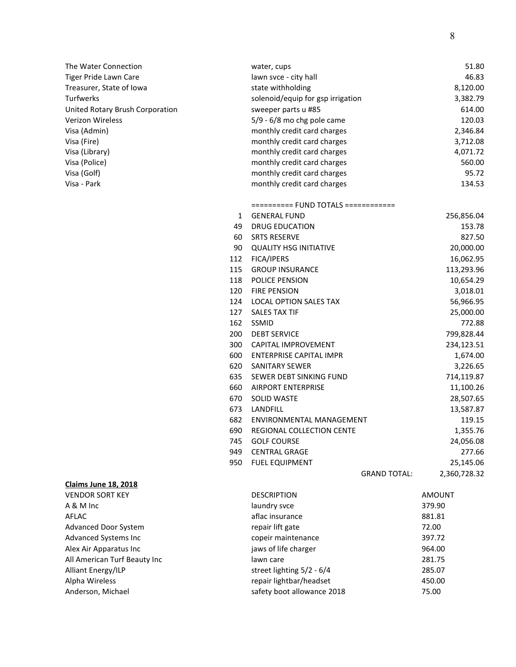| The Water Connection            | water, cups                       | 51.80    |
|---------------------------------|-----------------------------------|----------|
| Tiger Pride Lawn Care           | lawn svce - city hall             | 46.83    |
| Treasurer, State of Iowa        | state withholding                 | 8,120.00 |
| Turfwerks                       | solenoid/equip for gsp irrigation | 3,382.79 |
| United Rotary Brush Corporation | sweeper parts u #85               | 614.00   |
| Verizon Wireless                | $5/9 - 6/8$ mo chg pole came      | 120.03   |
| Visa (Admin)                    | monthly credit card charges       | 2,346.84 |
| Visa (Fire)                     | monthly credit card charges       | 3,712.08 |
| Visa (Library)                  | monthly credit card charges       | 4,071.72 |
| Visa (Police)                   | monthly credit card charges       | 560.00   |
| Visa (Golf)                     | monthly credit card charges       | 95.72    |
| Visa - Park                     | monthly credit card charges       | 134.53   |

========== FUND TOTALS ============

| $\mathbf{1}$ | <b>GENERAL FUND</b>              |                     | 256,856.04   |
|--------------|----------------------------------|---------------------|--------------|
| 49           | <b>DRUG EDUCATION</b>            |                     | 153.78       |
| 60           | <b>SRTS RESERVE</b>              |                     | 827.50       |
| 90           | <b>QUALITY HSG INITIATIVE</b>    |                     | 20,000.00    |
| 112          | <b>FICA/IPERS</b>                |                     | 16,062.95    |
| 115          | <b>GROUP INSURANCE</b>           |                     | 113,293.96   |
| 118          | <b>POLICE PENSION</b>            |                     | 10,654.29    |
| 120          | <b>FIRE PENSION</b>              |                     | 3,018.01     |
| 124          | <b>LOCAL OPTION SALES TAX</b>    |                     | 56,966.95    |
| 127          | <b>SALES TAX TIF</b>             |                     | 25,000.00    |
| 162          | <b>SSMID</b>                     |                     | 772.88       |
| 200          | <b>DEBT SERVICE</b>              |                     | 799,828.44   |
| 300          | <b>CAPITAL IMPROVEMENT</b>       |                     | 234,123.51   |
| 600          | <b>ENTERPRISE CAPITAL IMPR</b>   |                     | 1,674.00     |
| 620          | <b>SANITARY SEWER</b>            |                     | 3,226.65     |
| 635          | SEWER DEBT SINKING FUND          |                     | 714,119.87   |
| 660          | <b>AIRPORT ENTERPRISE</b>        |                     | 11,100.26    |
| 670          | <b>SOLID WASTE</b>               |                     | 28,507.65    |
| 673          | <b>LANDFILL</b>                  |                     | 13,587.87    |
| 682          | ENVIRONMENTAL MANAGEMENT         |                     | 119.15       |
| 690          | <b>REGIONAL COLLECTION CENTE</b> |                     | 1,355.76     |
| 745          | <b>GOLF COURSE</b>               |                     | 24,056.08    |
| 949          | <b>CENTRAL GRAGE</b>             |                     | 277.66       |
| 950          | <b>FUEL EQUIPMENT</b>            |                     | 25,145.06    |
|              |                                  | <b>GRAND TOTAL:</b> | 2,360,728.32 |

| Claims June 18, 2018         |                             |               |
|------------------------------|-----------------------------|---------------|
| <b>VENDOR SORT KEY</b>       | <b>DESCRIPTION</b>          | <b>AMOUNT</b> |
| $A & M$ Inc.                 | laundry svce                | 379.90        |
| AFLAC                        | aflac insurance             | 881.81        |
| Advanced Door System         | repair lift gate            | 72.00         |
| Advanced Systems Inc         | copeir maintenance          | 397.72        |
| Alex Air Apparatus Inc       | jaws of life charger        | 964.00        |
| All American Turf Beauty Inc | lawn care                   | 281.75        |
| Alliant Energy/ILP           | street lighting $5/2 - 6/4$ | 285.07        |
| Alpha Wireless               | repair lightbar/headset     | 450.00        |
| Anderson, Michael            | safety boot allowance 2018  | 75.00         |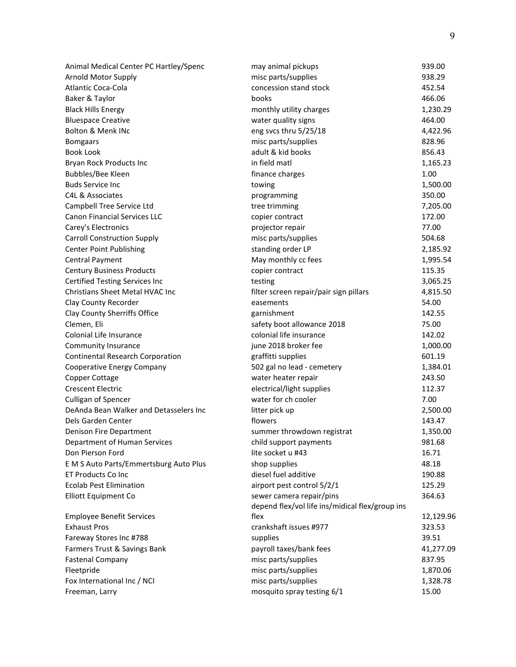| Animal Medical Center PC Hartley/Spenc  | may animal pickups                              | 939.00    |
|-----------------------------------------|-------------------------------------------------|-----------|
| Arnold Motor Supply                     | misc parts/supplies                             | 938.29    |
| <b>Atlantic Coca-Cola</b>               | concession stand stock                          | 452.54    |
| Baker & Taylor                          | books                                           | 466.06    |
| <b>Black Hills Energy</b>               | monthly utility charges                         | 1,230.29  |
| <b>Bluespace Creative</b>               | water quality signs                             | 464.00    |
| Bolton & Menk INc                       | eng svcs thru 5/25/18                           | 4,422.96  |
| <b>Bomgaars</b>                         | misc parts/supplies                             | 828.96    |
| <b>Book Look</b>                        | adult & kid books                               | 856.43    |
| Bryan Rock Products Inc                 | in field matl                                   | 1,165.23  |
| Bubbles/Bee Kleen                       | finance charges                                 | 1.00      |
| <b>Buds Service Inc</b>                 | towing                                          | 1,500.00  |
| C4L & Associates                        | programming                                     | 350.00    |
| Campbell Tree Service Ltd               | tree trimming                                   | 7,205.00  |
| <b>Canon Financial Services LLC</b>     | copier contract                                 | 172.00    |
| Carey's Electronics                     | projector repair                                | 77.00     |
| <b>Carroll Construction Supply</b>      | misc parts/supplies                             | 504.68    |
| <b>Center Point Publishing</b>          | standing order LP                               | 2,185.92  |
| <b>Central Payment</b>                  | May monthly cc fees                             | 1,995.54  |
| <b>Century Business Products</b>        | copier contract                                 | 115.35    |
| <b>Certified Testing Services Inc</b>   | testing                                         | 3,065.25  |
| Christians Sheet Metal HVAC Inc         | filter screen repair/pair sign pillars          | 4,815.50  |
| Clay County Recorder                    | easements                                       | 54.00     |
| Clay County Sherriffs Office            | garnishment                                     | 142.55    |
| Clemen, Eli                             | safety boot allowance 2018                      | 75.00     |
| Colonial Life Insurance                 | colonial life insurance                         | 142.02    |
| Community Insurance                     | june 2018 broker fee                            | 1,000.00  |
| <b>Continental Research Corporation</b> | graffitti supplies                              | 601.19    |
| Cooperative Energy Company              | 502 gal no lead - cemetery                      | 1,384.01  |
| <b>Copper Cottage</b>                   | water heater repair                             | 243.50    |
| <b>Crescent Electric</b>                | electrical/light supplies                       | 112.37    |
| Culligan of Spencer                     | water for ch cooler                             | 7.00      |
| DeAnda Bean Walker and Detasselers Inc  | litter pick up                                  | 2,500.00  |
| Dels Garden Center                      | flowers                                         | 143.47    |
| Denison Fire Department                 | summer throwdown registrat                      | 1,350.00  |
| Department of Human Services            | child support payments                          | 981.68    |
| Don Pierson Ford                        | lite socket u #43                               | 16.71     |
| E M S Auto Parts/Emmertsburg Auto Plus  | shop supplies                                   | 48.18     |
| ET Products Co Inc                      | diesel fuel additive                            | 190.88    |
| <b>Ecolab Pest Elimination</b>          | airport pest control 5/2/1                      | 125.29    |
| <b>Elliott Equipment Co</b>             | sewer camera repair/pins                        | 364.63    |
|                                         | depend flex/vol life ins/midical flex/group ins |           |
| <b>Employee Benefit Services</b>        | flex                                            | 12,129.96 |
| <b>Exhaust Pros</b>                     | crankshaft issues #977                          | 323.53    |
| Fareway Stores Inc #788                 | supplies                                        | 39.51     |
| Farmers Trust & Savings Bank            | payroll taxes/bank fees                         | 41,277.09 |
| <b>Fastenal Company</b>                 | misc parts/supplies                             | 837.95    |
| Fleetpride                              | misc parts/supplies                             | 1,870.06  |
| Fox International Inc / NCI             | misc parts/supplies                             | 1,328.78  |
| Freeman, Larry                          | mosquito spray testing 6/1                      | 15.00     |
|                                         |                                                 |           |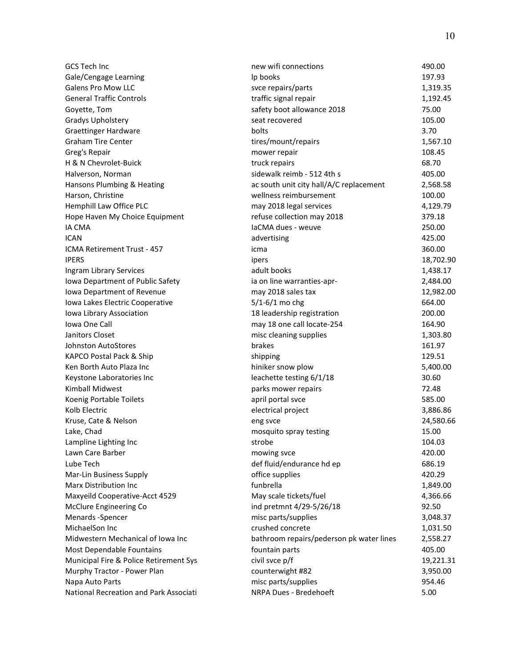| GCS Tech Inc                           | new wifi connections                     | 490.00    |
|----------------------------------------|------------------------------------------|-----------|
| Gale/Cengage Learning                  | Ip books                                 | 197.93    |
| <b>Galens Pro Mow LLC</b>              | svce repairs/parts                       | 1,319.35  |
| <b>General Traffic Controls</b>        | traffic signal repair                    | 1,192.45  |
| Goyette, Tom                           | safety boot allowance 2018               | 75.00     |
| Gradys Upholstery                      | seat recovered                           | 105.00    |
| <b>Graettinger Hardware</b>            | bolts                                    | 3.70      |
| <b>Graham Tire Center</b>              | tires/mount/repairs                      | 1,567.10  |
| Greg's Repair                          | mower repair                             | 108.45    |
| H & N Chevrolet-Buick                  | truck repairs                            | 68.70     |
| Halverson, Norman                      | sidewalk reimb - 512 4th s               | 405.00    |
| Hansons Plumbing & Heating             | ac south unit city hall/A/C replacement  | 2,568.58  |
| Harson, Christine                      | wellness reimbursement                   | 100.00    |
| Hemphill Law Office PLC                | may 2018 legal services                  | 4,129.79  |
| Hope Haven My Choice Equipment         | refuse collection may 2018               | 379.18    |
| <b>IA CMA</b>                          | IaCMA dues - weuve                       | 250.00    |
| <b>ICAN</b>                            | advertising                              | 425.00    |
| ICMA Retirement Trust - 457            | icma                                     | 360.00    |
| <b>IPERS</b>                           | ipers                                    | 18,702.90 |
| Ingram Library Services                | adult books                              | 1,438.17  |
| Iowa Department of Public Safety       | ia on line warranties-apr-               | 2,484.00  |
| Iowa Department of Revenue             | may 2018 sales tax                       | 12,982.00 |
| Iowa Lakes Electric Cooperative        | $5/1 - 6/1$ mo chg                       | 664.00    |
| Iowa Library Association               | 18 leadership registration               | 200.00    |
| Iowa One Call                          | may 18 one call locate-254               | 164.90    |
| Janitors Closet                        | misc cleaning supplies                   | 1,303.80  |
| Johnston AutoStores                    | brakes                                   | 161.97    |
| KAPCO Postal Pack & Ship               | shipping                                 | 129.51    |
| Ken Borth Auto Plaza Inc               | hiniker snow plow                        | 5,400.00  |
| Keystone Laboratories Inc              | leachette testing 6/1/18                 | 30.60     |
| Kimball Midwest                        | parks mower repairs                      | 72.48     |
| Koenig Portable Toilets                | april portal svce                        | 585.00    |
| Kolb Electric                          | electrical project                       | 3,886.86  |
| Kruse, Cate & Nelson                   | eng svce                                 | 24,580.66 |
| Lake, Chad                             | mosquito spray testing                   | 15.00     |
| Lampline Lighting Inc                  | strobe                                   | 104.03    |
| Lawn Care Barber                       | mowing svce                              | 420.00    |
| Lube Tech                              | def fluid/endurance hd ep                | 686.19    |
| Mar-Lin Business Supply                | office supplies                          | 420.29    |
| <b>Marx Distribution Inc</b>           | funbrella                                | 1,849.00  |
| Maxyeild Cooperative-Acct 4529         | May scale tickets/fuel                   | 4,366.66  |
| McClure Engineering Co                 | ind pretmnt 4/29-5/26/18                 | 92.50     |
| Menards -Spencer                       | misc parts/supplies                      | 3,048.37  |
| MichaelSon Inc                         | crushed concrete                         | 1,031.50  |
| Midwestern Mechanical of Iowa Inc      | bathroom repairs/pederson pk water lines | 2,558.27  |
| Most Dependable Fountains              | fountain parts                           | 405.00    |
| Municipal Fire & Police Retirement Sys | civil svce p/f                           | 19,221.31 |
| Murphy Tractor - Power Plan            | counterwight #82                         | 3,950.00  |
| Napa Auto Parts                        | misc parts/supplies                      | 954.46    |
| National Recreation and Park Associati | NRPA Dues - Bredehoeft                   | 5.00      |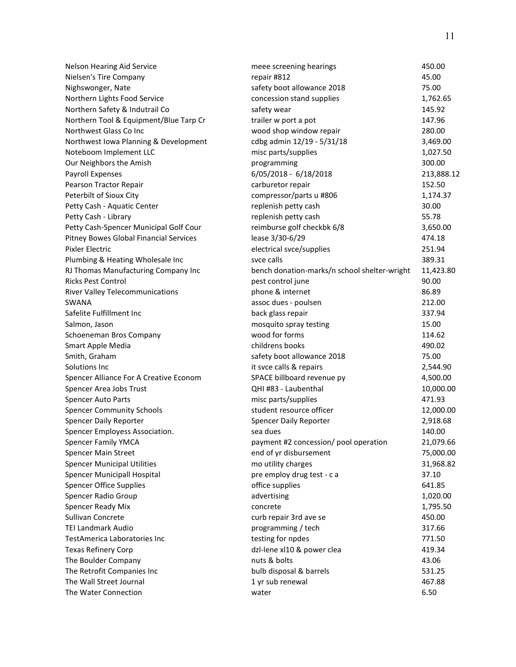| Nelson Hearing Aid Service             | meee screening hearings                      | 450.00     |
|----------------------------------------|----------------------------------------------|------------|
| Nielsen's Tire Company                 | repair #812                                  | 45.00      |
| Nighswonger, Nate                      | safety boot allowance 2018                   | 75.00      |
| Northern Lights Food Service           | concession stand supplies                    | 1,762.65   |
| Northern Safety & Indutrail Co         | safety wear                                  | 145.92     |
| Northern Tool & Equipment/Blue Tarp Cr | trailer w port a pot                         | 147.96     |
| Northwest Glass Co Inc                 | wood shop window repair                      | 280.00     |
| Northwest Iowa Planning & Development  | cdbg admin 12/19 - 5/31/18                   | 3,469.00   |
| Noteboom Implement LLC                 | misc parts/supplies                          | 1,027.50   |
| Our Neighbors the Amish                | programming                                  | 300.00     |
| <b>Payroll Expenses</b>                | 6/05/2018 - 6/18/2018                        | 213,888.12 |
| Pearson Tractor Repair                 | carburetor repair                            | 152.50     |
| Peterbilt of Sioux City                | compressor/parts u #806                      | 1,174.37   |
| Petty Cash - Aquatic Center            | replenish petty cash                         | 30.00      |
| Petty Cash - Library                   | replenish petty cash                         | 55.78      |
| Petty Cash-Spencer Municipal Golf Cour | reimburse golf checkbk 6/8                   | 3,650.00   |
| Pitney Bowes Global Financial Services | lease 3/30-6/29                              | 474.18     |
| <b>Pixler Electric</b>                 | electrical svce/supplies                     | 251.94     |
| Plumbing & Heating Wholesale Inc       | svce calls                                   | 389.31     |
| RJ Thomas Manufacturing Company Inc    | bench donation-marks/n school shelter-wright | 11,423.80  |
| <b>Ricks Pest Control</b>              | pest control june                            | 90.00      |
| <b>River Valley Telecommunications</b> | phone & internet                             | 86.89      |
| SWANA                                  | assoc dues - poulsen                         | 212.00     |
| Safelite Fulfillment Inc               | back glass repair                            | 337.94     |
| Salmon, Jason                          | mosquito spray testing                       | 15.00      |
| Schoeneman Bros Company                | wood for forms                               | 114.62     |
| Smart Apple Media                      | childrens books                              | 490.02     |
| Smith, Graham                          | safety boot allowance 2018                   | 75.00      |
| Solutions Inc                          | it svce calls & repairs                      | 2,544.90   |
| Spencer Alliance For A Creative Econom | SPACE billboard revenue py                   | 4,500.00   |
| Spencer Area Jobs Trust                | QHI #83 - Laubenthal                         | 10,000.00  |
| Spencer Auto Parts                     | misc parts/supplies                          | 471.93     |
| <b>Spencer Community Schools</b>       | student resource officer                     | 12,000.00  |
| <b>Spencer Daily Reporter</b>          | Spencer Daily Reporter                       | 2,918.68   |
| Spencer Employess Association.         | sea dues                                     | 140.00     |
| Spencer Family YMCA                    | payment #2 concession/ pool operation        | 21,079.66  |
| Spencer Main Street                    | end of yr disbursement                       | 75,000.00  |
| <b>Spencer Municipal Utilities</b>     | mo utility charges                           | 31,968.82  |
| Spencer Municipall Hospital            | pre employ drug test - c a                   | 37.10      |
| <b>Spencer Office Supplies</b>         | office supplies                              | 641.85     |
| Spencer Radio Group                    | advertising                                  | 1,020.00   |
| Spencer Ready Mix                      | concrete                                     | 1,795.50   |
| Sullivan Concrete                      | curb repair 3rd ave se                       | 450.00     |
| <b>TEI Landmark Audio</b>              | programming / tech                           | 317.66     |
| TestAmerica Laboratories Inc           | testing for npdes                            | 771.50     |
| <b>Texas Refinery Corp</b>             | dzl-lene xl10 & power clea                   | 419.34     |
| The Boulder Company                    | nuts & bolts                                 | 43.06      |
| The Retrofit Companies Inc             | bulb disposal & barrels                      | 531.25     |
| The Wall Street Journal                | 1 yr sub renewal                             | 467.88     |
| The Water Connection                   | water                                        | 6.50       |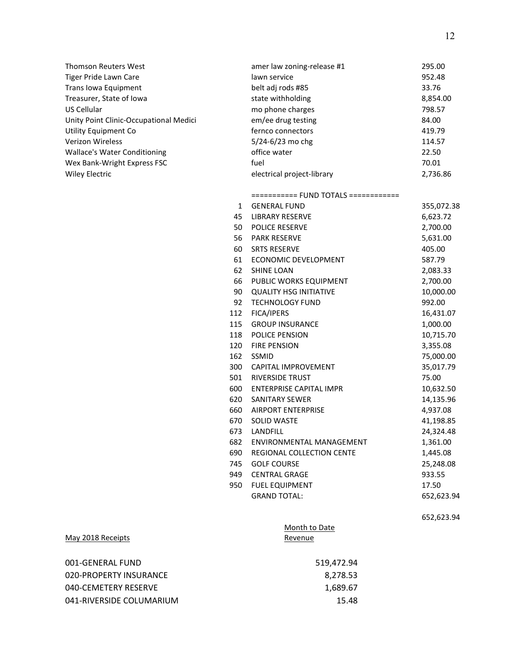| Thomson Reuters West                   |     | amer law zoning-release #1           | 295.00     |
|----------------------------------------|-----|--------------------------------------|------------|
| Tiger Pride Lawn Care                  |     | lawn service                         | 952.48     |
| Trans Iowa Equipment                   |     | belt adj rods #85                    | 33.76      |
| Treasurer, State of Iowa               |     | state withholding                    | 8,854.00   |
| US Cellular                            |     | mo phone charges                     | 798.57     |
| Unity Point Clinic-Occupational Medici |     | em/ee drug testing                   | 84.00      |
| Utility Equipment Co                   |     | fernco connectors                    | 419.79     |
| Verizon Wireless                       |     | 5/24-6/23 mo chg                     | 114.57     |
| <b>Wallace's Water Conditioning</b>    |     | office water                         | 22.50      |
| Wex Bank-Wright Express FSC            |     | fuel                                 | 70.01      |
| <b>Wiley Electric</b>                  |     | electrical project-library           | 2,736.86   |
|                                        |     | =========== FUND TOTALS ============ |            |
|                                        | 1   | <b>GENERAL FUND</b>                  | 355,072.38 |
|                                        | 45  | <b>LIBRARY RESERVE</b>               | 6,623.72   |
|                                        | 50  | POLICE RESERVE                       | 2,700.00   |
|                                        | 56  | <b>PARK RESERVE</b>                  | 5,631.00   |
|                                        | 60  | <b>SRTS RESERVE</b>                  | 405.00     |
|                                        | 61  | ECONOMIC DEVELOPMENT                 | 587.79     |
|                                        | 62  | <b>SHINE LOAN</b>                    | 2,083.33   |
|                                        | 66  | PUBLIC WORKS EQUIPMENT               | 2,700.00   |
|                                        | 90  | <b>QUALITY HSG INITIATIVE</b>        | 10,000.00  |
|                                        | 92  | <b>TECHNOLOGY FUND</b>               | 992.00     |
|                                        | 112 | FICA/IPERS                           | 16,431.07  |
|                                        | 115 | <b>GROUP INSURANCE</b>               | 1,000.00   |
|                                        | 118 | POLICE PENSION                       | 10,715.70  |
|                                        | 120 | <b>FIRE PENSION</b>                  | 3,355.08   |
|                                        | 162 | SSMID                                | 75,000.00  |
|                                        | 300 | CAPITAL IMPROVEMENT                  | 35,017.79  |
|                                        | 501 | RIVERSIDE TRUST                      | 75.00      |
|                                        | 600 | <b>ENTERPRISE CAPITAL IMPR</b>       | 10,632.50  |
|                                        | 620 | <b>SANITARY SEWER</b>                | 14,135.96  |
|                                        | 660 | <b>AIRPORT ENTERPRISE</b>            | 4,937.08   |
|                                        | 670 | SOLID WASTE                          | 41,198.85  |
|                                        | 673 | <b>LANDFILL</b>                      | 24,324.48  |
|                                        | 682 | ENVIRONMENTAL MANAGEMENT             | 1,361.00   |
|                                        | 690 | REGIONAL COLLECTION CENTE            | 1,445.08   |
|                                        | 745 | <b>GOLF COURSE</b>                   | 25,248.08  |
|                                        | 949 | <b>CENTRAL GRAGE</b>                 | 933.55     |
|                                        | 950 | <b>FUEL EQUIPMENT</b>                | 17.50      |
|                                        |     | <b>GRAND TOTAL:</b>                  | 652,623.94 |
|                                        |     |                                      | 652,623.94 |
|                                        |     | Month to Date                        |            |
| May 2018 Receipts                      |     | Revenue                              |            |
| 001-GENERAL FUND                       |     | 519,472.94                           |            |
| 020-PROPERTY INSURANCE                 |     | 8,278.53                             |            |
| 040-CEMETERY RESERVE                   |     | 1,689.67                             |            |
|                                        |     |                                      |            |
| 041-RIVERSIDE COLUMARIUM               |     | 15.48                                |            |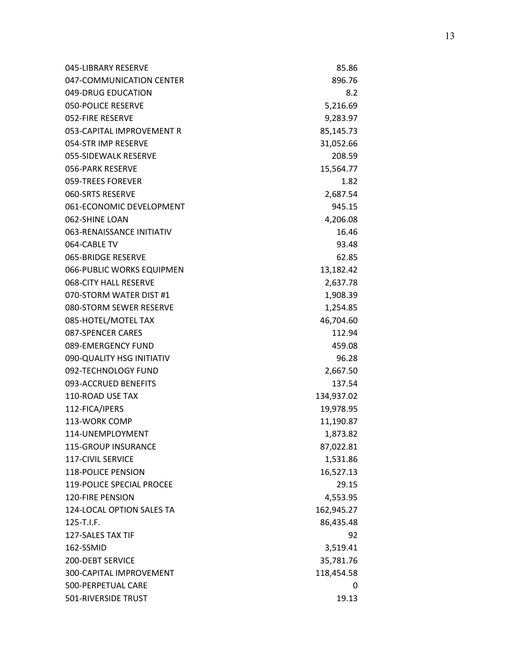| 045-LIBRARY RESERVE       | 85.86      |
|---------------------------|------------|
| 047-COMMUNICATION CENTER  | 896.76     |
| 049-DRUG EDUCATION        | 8.2        |
| <b>050-POLICE RESERVE</b> | 5,216.69   |
| 052-FIRE RESERVE          | 9,283.97   |
| 053-CAPITAL IMPROVEMENT R | 85,145.73  |
| 054-STR IMP RESERVE       | 31,052.66  |
| 055-SIDEWALK RESERVE      | 208.59     |
| 056-PARK RESERVE          | 15,564.77  |
| 059-TREES FOREVER         | 1.82       |
| 060-SRTS RESERVE          | 2,687.54   |
| 061-ECONOMIC DEVELOPMENT  | 945.15     |
| 062-SHINE LOAN            | 4,206.08   |
| 063-RENAISSANCE INITIATIV | 16.46      |
| 064-CABLE TV              | 93.48      |
| 065-BRIDGE RESERVE        | 62.85      |
| 066-PUBLIC WORKS EQUIPMEN | 13,182.42  |
| 068-CITY HALL RESERVE     | 2,637.78   |
| 070-STORM WATER DIST #1   | 1,908.39   |
| 080-STORM SEWER RESERVE   | 1,254.85   |
| 085-HOTEL/MOTEL TAX       | 46,704.60  |
| 087-SPENCER CARES         | 112.94     |
| 089-EMERGENCY FUND        | 459.08     |
| 090-QUALITY HSG INITIATIV | 96.28      |
| 092-TECHNOLOGY FUND       | 2,667.50   |
| 093-ACCRUED BENEFITS      | 137.54     |
| 110-ROAD USE TAX          | 134,937.02 |
| 112-FICA/IPERS            | 19,978.95  |
| 113-WORK COMP             | 11,190.87  |
| 114-UNEMPLOYMENT          | 1,873.82   |
| 115-GROUP INSURANCE       | 87,022.81  |
| 117-CIVIL SERVICE         | 1,531.86   |
| <b>118-POLICE PENSION</b> | 16,527.13  |
| 119-POLICE SPECIAL PROCEE | 29.15      |
| <b>120-FIRE PENSION</b>   | 4,553.95   |
| 124-LOCAL OPTION SALES TA | 162,945.27 |
| 125-T.I.F.                | 86,435.48  |
| 127-SALES TAX TIF         | 92         |
| 162-SSMID                 | 3,519.41   |
| 200-DEBT SERVICE          | 35,781.76  |
| 300-CAPITAL IMPROVEMENT   | 118,454.58 |
| 500-PERPETUAL CARE        | 0          |
| 501-RIVERSIDE TRUST       | 19.13      |